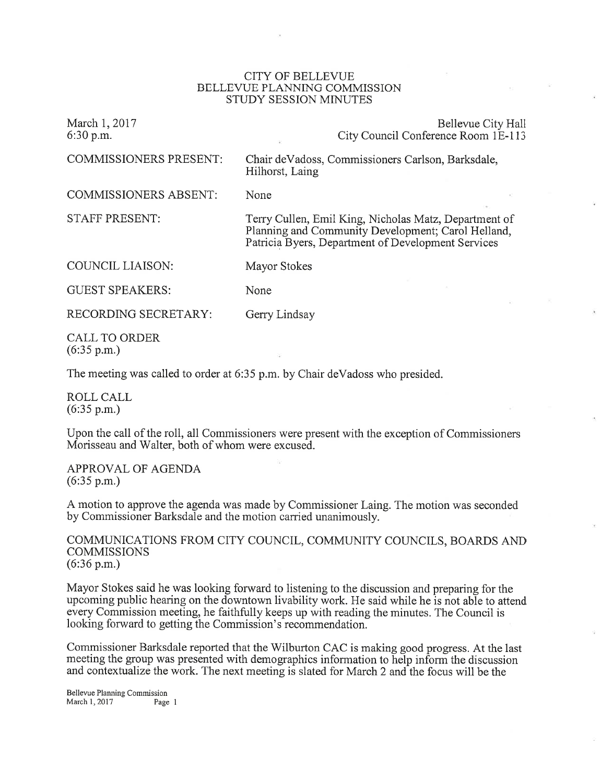## CITY OF BELLEVUE BELLEVUE PLANNING COMMISSION STUDY SESSION MINUTES

| March 1, 2017<br>6:30 p.m.             | Bellevue City Hall<br>City Council Conference Room 1E-113                                                                                                         |
|----------------------------------------|-------------------------------------------------------------------------------------------------------------------------------------------------------------------|
| <b>COMMISSIONERS PRESENT:</b>          | Chair de Vadoss, Commissioners Carlson, Barksdale,<br>Hilhorst, Laing                                                                                             |
| <b>COMMISSIONERS ABSENT:</b>           | None                                                                                                                                                              |
| <b>STAFF PRESENT:</b>                  | Terry Cullen, Emil King, Nicholas Matz, Department of<br>Planning and Community Development; Carol Helland,<br>Patricia Byers, Department of Development Services |
| COUNCIL LIAISON:                       | Mayor Stokes                                                                                                                                                      |
| <b>GUEST SPEAKERS:</b>                 | None                                                                                                                                                              |
| RECORDING SECRETARY:                   | Gerry Lindsay                                                                                                                                                     |
| CALL TO ORDER<br>$(6:35 \text{ p.m.})$ |                                                                                                                                                                   |

The meeting was called to order at 6:35 p.m. by Chair deVadoss who presided.

ROLL CALL  $(6:35 \text{ p.m.})$ 

Upon the call of the roll, all Commissioners were present with the exception of Commissioners Morisseau and Walter, both of whom were excused.

APPROVAL OF AGENDA (6:35 p.m.)

A motion to approve the agenda was made by Commissioner Laing. The motion was seconded by Commissioner Barksdale and the motion carried unanimously.

COMMUNICATIONS FROM CITY COUNCIL, COMMUNITY COUNCILS, BOARDS AND **COMMISSIONS** (6:36 p.m.)

Mayor Stokes said he was looking forward to listening to the discussion and preparing for the upcoming public hearing on the downtown livability work. He said while he is not able to attend every Commission meeting, he faithfully keeps up with reading the minutes. The Council is looking forward to getting the Commission's recommendation.

Commissioner Barksdale reported that the Wilburton CAC is making good progress. At the last meeting the group was presented with demographics information to help inform the discussion and contextualize the work. The next meeting is slated for March 2 and the focus will be the

Bellewe Planning Commission March 1, 2017 Page 1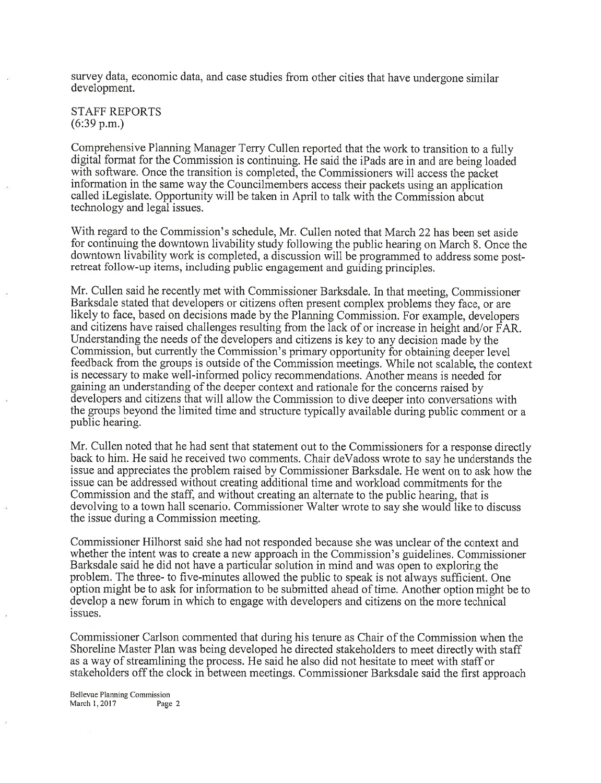survey data, economic data, and case studies from other cities that have undergone similar development.

STAFF REPORTS (6:39 p.m.)

Comprehensive Planning Manager Terry Cullen reported that the work to transition to a fully digital format for the Commission is continuing. He said the iPads are in and are being loaded with software. Once the transition is completed, the Commissioners will access the packet information in the same way the Councilmembers access their packets using an application called iLegislate. Opportunity will be taken in April to talk with the Commission about technology and legal issues.

With regard to the Commission's schedule, Mr. Cullen noted that March 22 has been set aside for continuing the downtown livability study following the public hearing on March 8. Once the downtown livability work is completed, a discussion will be programmed to address some postretreat follow-up items, including public engagement and guiding principles.

Mr. Cullen said he recently met with Commissioner Barksdale. In that meeting, Commissioner Barksdale stated that developers or citizens often present complex problems they face, or are likely to face, based on decisions made by the Planning Commission. For example, developers and citizens have raised challenges resulting from the lack of or increase in height and/or FAR. Understanding the needs of the developers and citizens is key to any decision made by the Commission, but currently the Commission's primary opportunity for obtaining deeper level feedback from the groups is outside of the Commission meetings. While not scalable, the context is necessary to make well-informed policy recommendations. Another means is needed for gaining an understanding of the deeper context and rationale for the concerns raised by developers and citizens that will allow the Commission to dive deeper into conversations with the groups beyond the limited time and structure typically available during public comment or <sup>a</sup> public hearing.

Mr. Cullen noted that he had sent that statement out to the Commissioners for a response directly back to him. He said he received two comments. Chair deVadoss wrote to say he understands the issue and appreciates the problem raised by Commissioner Barksdale. He went on to ask how the issue can be addressed without creating additional time and workload commitments for the Commission and the staff, and without creating an alternate to the public hearing, that is devolving to a town hall scenario. Commissioner Walter wrote to say she would like to discuss the issue during a Commission meeting.

Commissioner Hilhorst said she had not responded because she was unclear of the context and whether the intent was to create a new approach in the Commission's guidelines. Commissioner Barksdale said he did not have a particular solution in mind and was open to exploring the problem. The three- to five-minutes allowed the public to speak is not always sufficient. One option might be to ask for information to be submitted ahead of time. Another option might be to develop a new forum in which to engage with developers and citizens on the more technical issues.

Commissioner Carlson commented that during his tenure as Chair of the Commission when the Shoreline Master Plan was being developed he directed stakeholders to meet directly with staff as a way of streamlining the process. He said he also did not hesitate to meet with staff or stakeholders off the clock in between meetings. Commissioner Barksdale said the first approach

Bellewe Planning Commission March 1, 2017 Page 2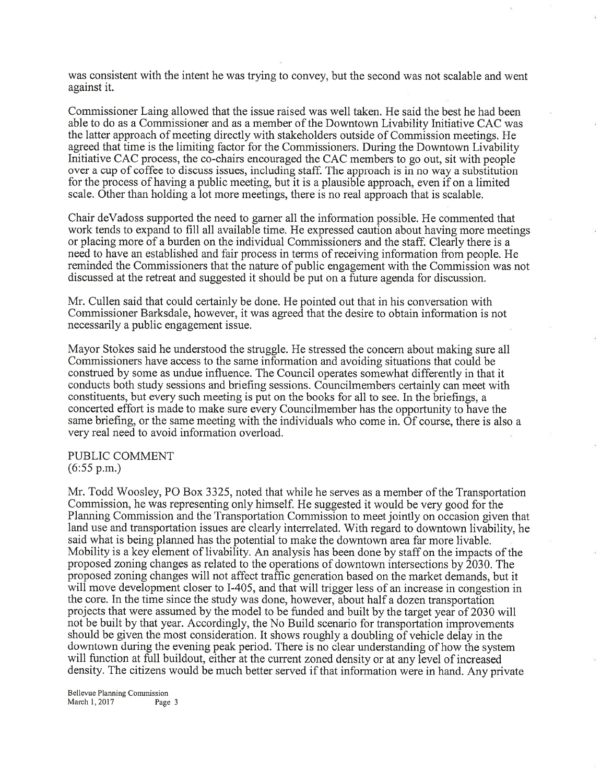was consistent with the intent he was trying to convey, but the second was not scalable and went against it.

Commissioner Laing allowed that the issue raised was well taken. He said the best he had been able to do as a Commissioner and as a member of the Downtown Livability Initiative CAC was the latter approach of meeting directly with stakeholders outside of Commission meetings. He agreed that time is the limiting factor for the Commissioners. During the Downtown Livability Initiative CAC process, the co-chairs encouraged the CAC members to go out, sit with people over a cup of coffee to discuss issues, including staff. The approach is in no way a substitution for the process of having a public meeting, but it is a plausible approach, even if on a limited scale. Other than holding a lot more meetings, there is no real approach that is scalable.

Chair deVadoss supported the need to gamer all the information possible. He commented that work tends to expand to fill all available time. He expressed caution about having more meetings or placing more of a burden on the individual Commissioners and the staff. Clearly there is <sup>a</sup> need to have an established and fair process in terms of receiving information from people. He reminded the Commissioners that the nature of public engagement with the Commission was not discussed at the retreat and suggested it should be put on a future agenda for discussion.

Mr. Cullen said that could certainly be done. He pointed out that in his conversation with Commissioner Barksdale, however, it was agreed that the desire to obtain information is not necessarily a public engagement issue.

Mayor Stokes said he understood the struggle. He stressed the concern about making sure all Commissioners have access to the same information and avoiding situations that could be construed by some as undue influence. The Council operates somewhat differently in that it conducts both study sessions and briefing sessions. Councilmembers certainly can meet with constituents, but every such meeting is put on the books for all to see. In the briefings, <sup>a</sup> concerted effort is made to make sure every Councilmember has the opportunity to have the same briefing, or the same meeting with the individuals who come in. Of course, there is also a very real need to avoid information overload.

PUBLIC COMMENT (6:55 p.m.)

Mr. Todd Woosley, PO Box 3325, noted that while he serves as a member of the Transportation Commission, he was representing only himself. He suggested it would be very good for the Planning Commission and the Transportation Commission to meet jointly on occasion given that land use and transportation issues are clearly interrelated. With regard to downtown livability, he said what is being planned has the potential to make the downtown area far more livable. Mobility is a key element of livability. An analysis has been done by staff on the impacts of the proposed zoning changes as related to the operations of downtown intersections by 2030. The proposed zoning changes will not affect traffrc generation based on the market demands, but it will move development closer to I-405, and that will trigger less of an increase in congestion in the core. In the time since the study was done, however, about half a dozen transportation projects that were assumed by the model to be funded and built by the target year of 2030 will not be built by that year. Accordingly, the No Build scenario for transportation improvements should be given the most consideration. It shows roughly a doubling of vehicle delay in the downtown during the evening peak period. There is no clear understanding of how the system will function at full buildout, either at the current zoned density or at any level of increased density. The citizens would be much better served if that information were in hand. Any private

Bellevue Planning Commission March 1, 2017 Page 3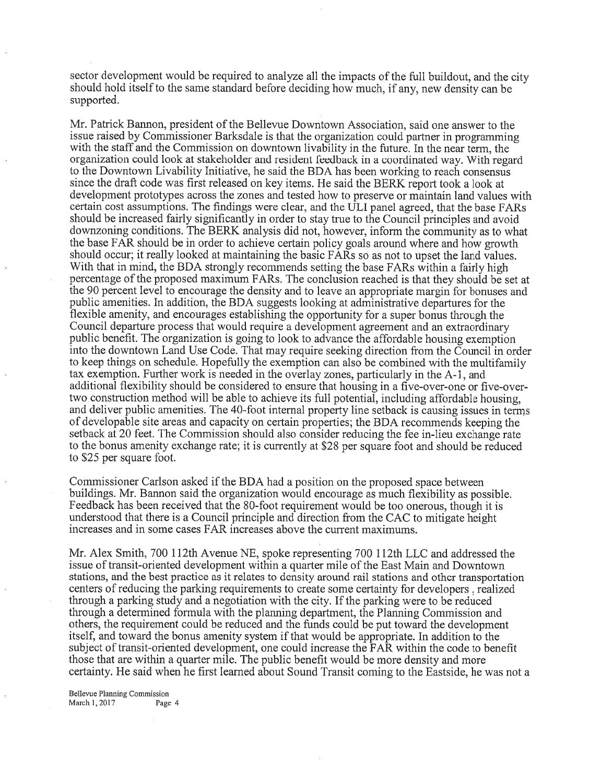sector development would be required to analyze all the impacts of the full buildout, and the city should hold itself to the same standard before deciding how much, if any, new density can be supported.

Mr. Patrick Bannon, president of the Bellevue Downtown Association, said one answer to the issue raised by Commissioner Barksdale is that the organization could partner in programming with the staff and the Commission on downtown livability in the future. In the near term, the organization could look at stakeholder and resident feedback in a coordinated way. With regard to the Downtown Livability Initiative, he said the BDA has been working to reach consensus since the draft code was first released on key items. He said the BERK report took a look at development prototypes across the zones and tested how to preserve or maintain land values with certain cost assumptions. The findings were clear, and the ULI panel agreed, that the base FARs should be increased fairly significantly in order to stay true to the Council principles and avoid downzoning conditions. The BERK analysis did not, however, inform the community as to what the base FAR should be in order to achieve certain policy goals around where and how growth should occur; it really looked at maintaining the basic FARs so as not to upset the land values. With that in mind, the BDA strongly recommends setting the base FARs within a fairly high percentage of the proposed maximum FARs. The conclusion reached is that they should be set at the 90 percent level to encourage the density and to leave an appropriate margin for bonuses and public amenities. In addition, the BDA suggests looking at administrative departures for the flexible amenity, and encourages establishing the opportunity for a super bonus through the Council departure process that would require a development agreement and an extraordinary public benefit. The organization is going to look to advance the affordable housing exemption into the downtown Land Use Code. That may require seeking direction from the Council in order to keep things on schedule. Hopefully the exemption can also be combined with the multifamily tax exemption. Further work is needed in the overlay zones, particularly in the A-1, and additional flexibility should be considered to ensure that housing in a five-over-one or five-overtwo construction method will be able to achieve its full potential, including affordable housing, and deliver public amenities. The 4O-foot internal property line setback is causing issues in terms of developable site areas and capacity on certain properties; the BDA recommends keeping the setback at 20 feet. The Commission should also consider reducing the fee in-lieu exchange rate to the bonus amenity exchange rate; it is currently at \$28 per square foot and should be reduced to \$25 per square foot.

Commissioner Carlson asked if the BDA had a position on the proposed space between buildings. Mr. Bannon said the organization would encourage as much flexibility as possible. Feedback has been received that the 80-foot requirement would be too onerous, though it is understood that there is a Council principle and direction from the CAC to mitigate height increases and in some cases FAR increases above the current maximums.

Mr. Alex Smith, 700 112th Avenue NE, spoke representing 700 112th LLC and addressed the issue of transit-oriented development within a quarter mile of the East Main and Downtown stations, and the best practice as it relates to density around rail stations and other transportation centers of reducing the parking requirements to create some certainty for developers, realized through a parking study and a negotiation with the city. If the parking were to be reduced through a determined formula with the planning department, the Planning Commission and others, the requirement could be reduced and the funds could be put toward the development itself, and toward the bonus amenity system if that would be appropriate. In addition to the subject of transit-oriented development, one could increase the FAR within the code to benefit those that are within a quarter mile. The public benefit would be more density and more certainty. He said when he first learned about Sound Transit coming to the Eastside, he was not <sup>a</sup>

Bellewe Planning Commission March 1, 2017 Page 4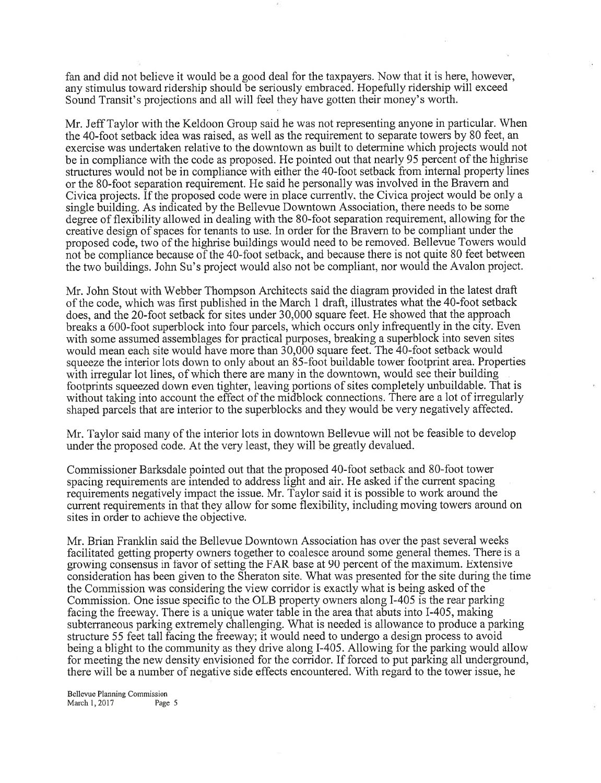fan and did not believe it would be a good deal for the taxpayers. Now that it is here, however, any stimulus toward ridership should be seriously embraced. Hopefully ridership will exceed Sound Transit's projections and all will feel they have gotten their money's worth.

Mr. Jeff Taylor with the Keldoon Group said he was not representing anyone in particular. When the 4O-foot setback idea was raised, as well as the requirement to separate towers by 80 feet, an exercise was undertaken relative to the downtown as built to determine which projects would not be in compliance with the code as proposed. He pointed out that nearly 95 percent of the highrise structures would not be in compliance with either the 40-foot setback from internal property lines or the 80-foot separation requirement. He said he personally was involved in the Bravem and Civica projects. If the proposed code were in place currentlv. the Civica project would be only <sup>a</sup> single building. As indicated by the Bellevue Downtown Association, there needs to be some degree of flexibility allowed in dealing with the 80-foot separation requirement, allowing for the creative design of spaces for tenants to use. In order for the Bravern to be compliant under the proposed code, two of the highrise buildings would need to be removed. Bellevue Towers would not be compliance because of the 40-foot setback, and because there is not quite 80 feet between the two buildings. John Su's project would also not be compliant, nor would the Avalon project.

Mr. John Stout with Webber Thompson Architects said the diagram provided in the latest draft of the code, which was first published in the March 1 draft, illustrates what the 40-foot setback does, and the 20-foot setback for sites under 30,000 square feet. He showed that the approach breaks a 600-foot superblock into four parcels, which occurs only infrequently in the city. Even with some assumed assemblages for practical purposes, breaking a superblock into seven sites would mean each site would have more than  $30,000$  square feet. The 40-foot setback would squeeze the interior lots down to only about an 85-foot buildable tower footprint area. Properties with irregular lot lines, of which there are many in the downtown, would see their building footprints squeezed down even tighter, leaving portions of sites completely unbuildable. That is without taking into account the effect of the midblock connections. There are a lot of irregularly shaped parcels that are interior to the superblocks and they would be very negatively affected.

Mr. Taylor said many of the interior lots in downtown Bellevue will not be feasible to develop under the proposed code. At the very least, they will be greatly devalued.

Commissioner Barksdale pointed out that the proposed 40-foot setback and S0-foot tower spacing requirements are intended to address light and air. He asked if the current spacing requirements negatively impact the issue. Mr. Taylor said it is possible to work around the current requirements in that they allow for some flexibility, including moving towers around on sites in order to achieve the objective.

Mr. Brian Franklin said the Bellevue Downtown Association has over the past several weeks facilitated getting property owners together to coalesce around some general themes. There is a growing consensus in favor of setting the FAR base at 90 percent of the maximum. Extensive consideration has been given to the Sheraton site. What was presented for the site during the time the Commission was considering the view corridor is exactly what is being asked of the Commission. One issue specific to the OLB property owners along I-405 is the rear parking facing the freeway. There is a unique water table in the area that abuts into I-405, making subterraneous parking extremely challenging. What is needed is allowance to produce a parking structure 55 feet tall facing the freeway; it would need to undergo a design process to avoid being a blight to the community as they drive along I-405. Allowing for the parking would allow for meeting the new density envisioned for the corridor. If forced to put parking all underground, there will be a number of negative side effects encountered. With regard to the tower issue, he

Bellevue Planning Commission<br>March 1, 2017 Page 5 March 1, 2017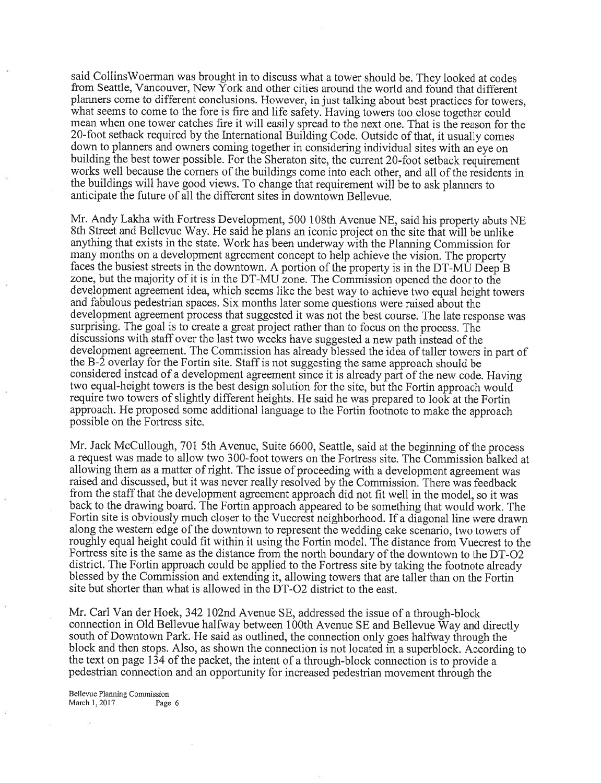said CollinsWoerman was brought in to discuss what a tower should be. They looked at codes from Seattle, Vancouver, New York and other cities around the world and found that different planners come to different conclusions. However, in just talking about best practices for towers, what seems to come to the fore is fire and life safety. Having towers too close together could mean when one tower catches fire it will easily spread to the next one. That is the reason for the 20-foot setback required by the International Building Code. Outside of that, it usually comes down to planners and owners coming together in considering individual sites with an eye on building the best tower possible. For the Sheraton site, the current 20-foot setback requirement works well because the comers of the buildings come into each other, and all of the residents in the buildings will have good views. To change that requirement will be to ask planners to anticipate the future of all the different sites in downtown Bellewe.

Mr. Andy Lakha with Fortress Development, 500 108th Avenue NE, said his property abuts NE 8th Street and Bellevue Way. He said he plans an iconic project on the site that will be unlike anything that exists in the state. Work has been underway with the Planning Commission for many months on a development agreement concept to help achieve the vision. The property faces the busiest streets in the downtown. A portion of the property is in the DT-MU Deep  $\tilde{B}$ zone, but the majority of it is in the DT-MU zone. The Commission opened the door to the development agreement idea, which seems like the best way to achieve two equal height towers and fabulous pedestrian spaces. Six months later some questions were raised about the development agreement process that suggested it was not the best course. The late response was surprising. The goal is to create a great project rather than to focus on the process. The discussions with staff over the last two weeks have suggested a new path instead of the development agreement. The Commission has already blessed the idea of taller towers in part of theB-2 overlay for the Fortin site. Staff is not suggesting the same approach should be considered instead of a development agreement since it is already part of the new code. Having two equal-height towers is the best design solution for the site, but the Fortin approach would require two towers of slightly different heights. He said he was prepared to look at the Fortin approach. He proposed some additional language to the Fortin footnote to make the approach possible on the Fortress site.

Mr. Jack McCullough, T0l 5th Avenue, Suite 6600, Seattle, said at the beginning of the process <sup>a</sup>request was made to allow two 30O-foot towers on the Fortress site. The Commission 6alked at allowing them as a matter of right. The issue of proceeding with a development agreement was raised and discussed, but it was never really resolved by the Commission. There was feedback from the staff that the development agreement approach did not fit well in the model, so it was back to the drawing board. The Fortin approach appeared to be something that would work. The Fortin site is obviously much closer to the Vuecrest neighborhood. If a diagonal line were drawn along the western edge of the downtown to represent the wedding cake scenario, two towers of roughly equal height could fit within it using the Fortin model. The distance from Vuecrest to the Fortress site is the same as the distance from the north boundary of the downtown to the DT-O2 district. The Fortin approach could be applied to the Fortress site by taking the footnote already blessed by the Commission and extending it, allowing towers that are taller than on the Fortin site but shorter than what is allowed in the DT-O2 district to the east.

Mr. Carl Van der Hoek, 342 I02nd Avenue SE, addressed the issue of a through-block connection in Old Bellevue halfivay between 100th Avenue SE and Bellevue Way and directly south of Downtown Park. He said as outlined, the connection only goes halfway through the block and then stops. Also, as shown the connection is not located in a superblock. According to the text on page 134 of the packet, the intent of a through-block connection is to provide <sup>a</sup> pedestrian connection and an opportunity for increased pedestrian movement through the

Bellevue Planning Commission<br>March 1, 2017 Page 6 March 1, 2017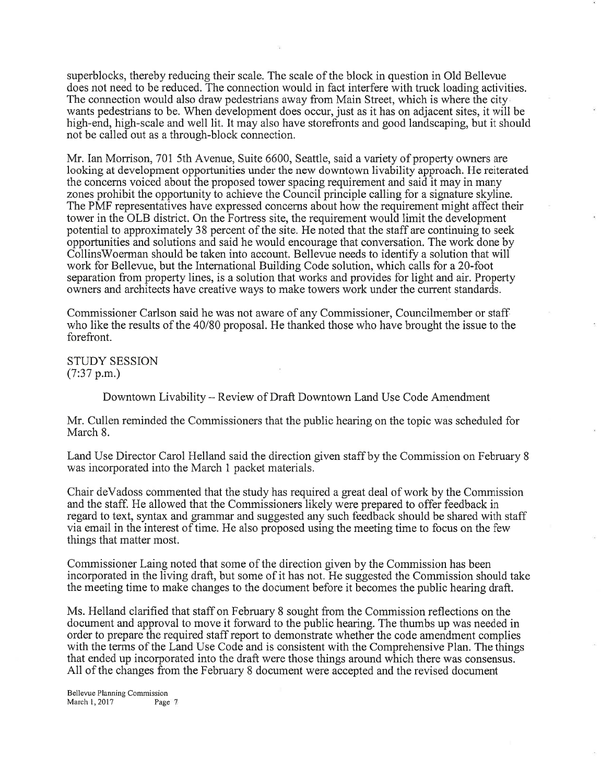superblocks, thereby reducing their scale. The scale of the block in question in Old Bellevue does not need to be reduced. The connection would in fact interfere with truck loading activities. The connection would also draw pedestrians away from Main Street, which is where the city wants pedestrians to be. When development does occur, just as it has on adjacent sites, it will be high-end, high-scale and well lit. It may also have storefronts and good landscaping, but it should not be called out as a through-block connection.

Mr. Ian Morrison, 701 5th Avenue, Suite 6600, Seattle, said a variety of property owners are looking at development opportunities under the new downtown livability approach. He reiterated the concerns voiced about the proposed tower spacing requirement and said it may in many zones prohibit the opportunity to achieve the Council principle calling for a signature skyline. The PMF representatives have expressed concerns about how the requirement might affect their tower in the OLB district. On the Fortress site, the requirement would limit the development potential to approximately 38 percent of the site. He noted that the staff are continuing to seek opportunities and solutions and said he would encourage that conversation. The work done by CollinsWoerman should be taken into account. Bellevue needs to identify a solution that will work for Bellevue, but the International Building Code solution, which calls for a 20-foot separation from property lines, is a solution that works and provides for light and air. Property owners and architects have creative ways to make towers work under the current standards.

Commissioner Carlson said he was not aware of any Commissioner, Councilmember or staff who like the results of the 40/80 proposal. He thanked those who have brought the issue to the forefront.

STUDY SESSION  $(7:37 \text{ p.m.})$ 

Downtown Livability - Review of Draft Downtown Land Use Code Amendment

Mr. Cullen reminded the Commissioners that the public hearing on the topic was scheduled for March 8.

Land Use Director Carol Helland said the direction given staff by the Commission on February <sup>8</sup> was incorporated into the March 1 packet materials.

Chair deVadoss commented that the study has required a great deal of work by the Commission and the staff. He allowed that the Commissioners likely were prepared to offer feedback in regard to text, syntax and grammar and suggested any such feedback should be shared with staff via email in the interest of time. He also proposed using the meeting time to focus on the few things that matter most.

Commissioner Laing noted that some of the direction given by the Commission has been incorporated in the living draft, but some of it has not. He suggested the Commission should take the meeting time to make changes to the document before it becomes the public hearing draft.

Ms. Helland clarified that staff on February 8 sought from the Commission reflections on the document and approval to move it forward to the public hearing. The thumbs up was needed in order to prepare the required staff report to demonstrate whether the code amendment complies with the terms of the Land Use Code and is consistent with the Comprehensive Plan. The things that ended up incorporated into the draft were those things around which there was consensus. All of the changes from the February 8 document were accepted and the revised document

Bellerue Planning Commission March 1, 2017 Page 7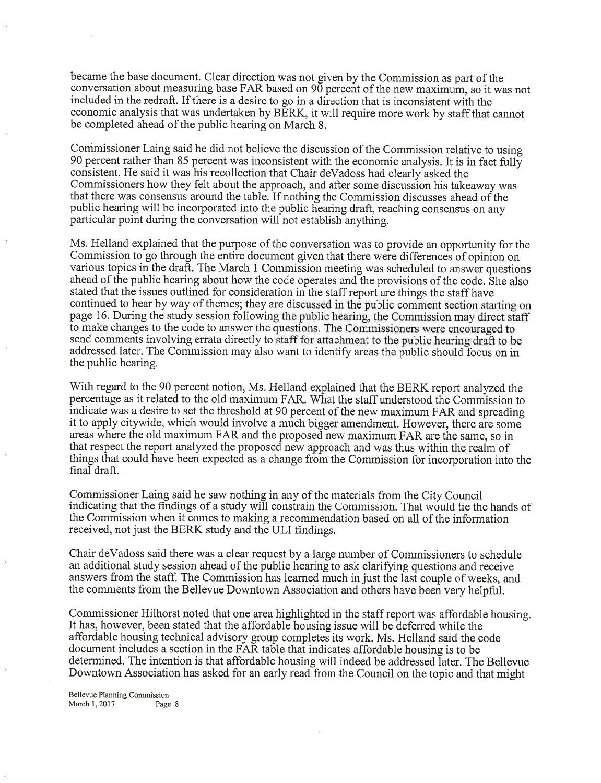became the base document. Clear direction was not given by the Commission as part of the conversation about measuring base FAR based on 90 percent of the new maximum, so it was not included in the redraft. If there is a desire to go in a direction that is inconsistent with the economic analysis that was undertaken by BERK, it will require more work by staff that cannot be completed ahead of the public hearing on March 8.

Commissioner Laing said he did not believe the discussion of the Commission relative to using 90 percent rather than 85 percent was inconsistent with the economic analysis. It is in fact fully consistent. He said it was his recollection that Chair deVadoss had clearly asked the Commissioners how they felt about the approach, and after some discussion his takeaway was that there was consensus around the table. If nothing the Commission discusses ahead of the public hearing will be incorporated into the public hearing draft, reaching consensus on any particular point during the conversation will not establish anything.

Ms. Helland explained that the purpose of the conversation was to provide an opportunity for the Commission to go through the entire document given that there were differences of opinion on various topics in the draft. The March I Commission meeting was scheduled to answer questions ahead of the public hearing about how the code operates and the provisions of the code. She also stated that the issues outlined for consideration in the staff report are things the staff have continued to hear by way of themes; they are discussed in the public comment section starting on page 16. During the study session following the public hearing, the Commission may direct staff to make changes to the code to answer the questions. The Commissioners were encouraged to send comments involving errata directly to staff for attachment to the public hearing draft to be addressed later. The Commission may also want to identify areas the public should focus on in the public hearing.

With regard to the 90 percent notion, Ms. Helland explained that the BERK report analyzed the percentage as it related to the old maximum FAR. What the staff understood the Commission to indicate was a desire to set the threshold at 90 percent of the new maximum FAR and spreading it to apply citywide, which would involve a much bigger amendment. However, there are some areas where the old maximum FAR and the proposed new maximum FAR are the same, so in that respect the report analyzed the proposed new approach and was thus within the realm of things that could have been expected as a change from the Commission for incorporation into the final draft.

Commissioner Laing said he saw nothing in any of the materials from the City Council indicating that the findings of a study will constrain the Commission. That would tie the hands of the Commission when it comes to making a recommendation based on all of the information received, not just the BERK study and the ULI findings.

Chair deVadoss said there was a clear request by a large number of Commissioners to schedule an additional study session ahead of the public hearing to ask clarifying questions and receive answers from the staff. The Commission has leamed much in just the last couple of weeks, and the comments from the Bellevue Downtown Association and others have been very helpful.

Commissioner Hilhorst noted that one area highlighted in the staff report was affordable housing. It has, however, been stated that the affordable housing issue will be deferred while the affordable housing technical advisory group completes its work. Ms. Helland said the code document includes a section in the FAR table that indicates affordable housing is to be determined. The intention is that affordable housing will indeed be addressed later. The Bellevue Downtown Association has asked for an early read from the Council on the topic and that might

Bellevue Planning Commission March 1, 2017 Page 8